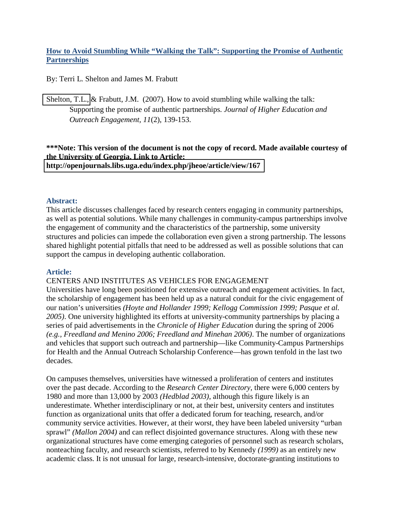# **How to Avoid Stumbling While "Walking the Talk": Supporting the Promise of Authentic Partnerships**

By: Terri L. Shelton and James M. Frabutt

[Shelton, T.L.,](http://libres.uncg.edu/ir/clist.aspx?id=131) & Frabutt, J.M. (2007). How to avoid stumbling while walking the talk: Supporting the promise of authentic partnerships. *Journal of Higher Education and Outreach Engagement, 11*(2), 139-153.

### **\*\*\*Note: This version of the document is not the copy of record. Made available courtesy of the University of Georgia. Link to Article: <http://openjournals.libs.uga.edu/index.php/jheoe/article/view/167>**

### **Abstract:**

This article discusses challenges faced by research centers engaging in community partnerships, as well as potential solutions. While many challenges in community-campus partnerships involve the engagement of community and the characteristics of the partnership, some university structures and policies can impede the collaboration even given a strong partnership. The lessons shared highlight potential pitfalls that need to be addressed as well as possible solutions that can support the campus in developing authentic collaboration.

### **Article:**

### CENTERS AND INSTITUTES AS VEHICLES FOR ENGAGEMENT

Universities have long been positioned for extensive outreach and engagement activities. In fact, the scholarship of engagement has been held up as a natural conduit for the civic engagement of our nation's universities *(Hoyte and Hollander 1999; Kellogg Commission 1999; Pasque et al. 2005)*. One university highlighted its efforts at university-community partnerships by placing a series of paid advertisements in the *Chronicle of Higher Education* during the spring of 2006 *(e.g., Freedland and Menino 2006; Freedland and Minehan 2006)*. The number of organizations and vehicles that support such outreach and partnership—like Community-Campus Partnerships for Health and the Annual Outreach Scholarship Conference—has grown tenfold in the last two decades.

On campuses themselves, universities have witnessed a proliferation of centers and institutes over the past decade. According to the *Research Center Directory,* there were 6,000 centers by 1980 and more than 13,000 by 2003 *(Hedblad 2003)*, although this figure likely is an underestimate. Whether interdisciplinary or not, at their best, university centers and institutes function as organizational units that offer a dedicated forum for teaching, research, and/or community service activities. However, at their worst, they have been labeled university "urban sprawl" *(Mallon 2004)* and can reflect disjointed governance structures. Along with these new organizational structures have come emerging categories of personnel such as research scholars, nonteaching faculty, and research scientists, referred to by Kennedy *(1999)* as an entirely new academic class. It is not unusual for large, research-intensive, doctorate-granting institutions to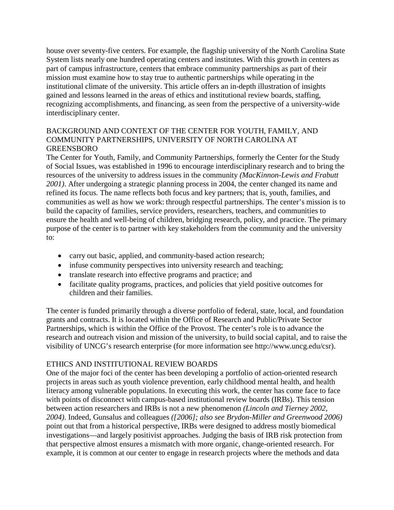house over seventy-five centers. For example, the flagship university of the North Carolina State System lists nearly one hundred operating centers and institutes. With this growth in centers as part of campus infrastructure, centers that embrace community partnerships as part of their mission must examine how to stay true to authentic partnerships while operating in the institutional climate of the university. This article offers an in-depth illustration of insights gained and lessons learned in the areas of ethics and institutional review boards, staffing, recognizing accomplishments, and financing, as seen from the perspective of a university-wide interdisciplinary center.

## BACKGROUND AND CONTEXT OF THE CENTER FOR YOUTH, FAMILY, AND COMMUNITY PARTNERSHIPS, UNIVERSITY OF NORTH CAROLINA AT GREENSBORO

The Center for Youth, Family, and Community Partnerships, formerly the Center for the Study of Social Issues, was established in 1996 to encourage interdisciplinary research and to bring the resources of the university to address issues in the community *(MacKinnon-Lewis and Frabutt 2001)*. After undergoing a strategic planning process in 2004, the center changed its name and refined its focus. The name reflects both focus and key partners; that is, youth, families, and communities as well as how we work: through respectful partnerships. The center's mission is to build the capacity of families, service providers, researchers, teachers, and communities to ensure the health and well-being of children, bridging research, policy, and practice. The primary purpose of the center is to partner with key stakeholders from the community and the university to:

- carry out basic, applied, and community-based action research;
- infuse community perspectives into university research and teaching;
- translate research into effective programs and practice; and
- facilitate quality programs, practices, and policies that yield positive outcomes for children and their families.

The center is funded primarily through a diverse portfolio of federal, state, local, and foundation grants and contracts. It is located within the Office of Research and Public/Private Sector Partnerships, which is within the Office of the Provost. The center's role is to advance the research and outreach vision and mission of the university, to build social capital, and to raise the visibility of UNCG's research enterprise (for more information see http://www.uncg.edu/csr).

## ETHICS AND INSTITUTIONAL REVIEW BOARDS

One of the major foci of the center has been developing a portfolio of action-oriented research projects in areas such as youth violence prevention, early childhood mental health, and health literacy among vulnerable populations. In executing this work, the center has come face to face with points of disconnect with campus-based institutional review boards (IRBs). This tension between action researchers and IRBs is not a new phenomenon *(Lincoln and Tierney 2002, 2004)*. Indeed, Gunsalus and colleagues *([2006]; also see Brydon-Miller and Greenwood 2006)*  point out that from a historical perspective, IRBs were designed to address mostly biomedical investigations—and largely positivist approaches. Judging the basis of IRB risk protection from that perspective almost ensures a mismatch with more organic, change-oriented research. For example, it is common at our center to engage in research projects where the methods and data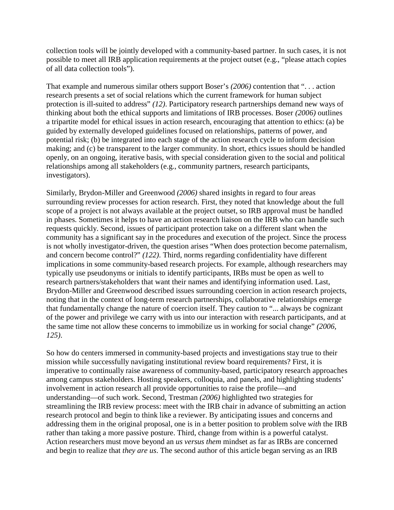collection tools will be jointly developed with a community-based partner. In such cases, it is not possible to meet all IRB application requirements at the project outset (e.g., "please attach copies of all data collection tools").

That example and numerous similar others support Boser's *(2006)* contention that ". . . action research presents a set of social relations which the current framework for human subject protection is ill-suited to address" *(12)*. Participatory research partnerships demand new ways of thinking about both the ethical supports and limitations of IRB processes. Boser *(2006)* outlines a tripartite model for ethical issues in action research, encouraging that attention to ethics: (a) be guided by externally developed guidelines focused on relationships, patterns of power, and potential risk; (b) be integrated into each stage of the action research cycle to inform decision making; and (c) be transparent to the larger community. In short, ethics issues should be handled openly, on an ongoing, iterative basis, with special consideration given to the social and political relationships among all stakeholders (e.g., community partners, research participants, investigators).

Similarly, Brydon-Miller and Greenwood *(2006)* shared insights in regard to four areas surrounding review processes for action research. First, they noted that knowledge about the full scope of a project is not always available at the project outset, so IRB approval must be handled in phases. Sometimes it helps to have an action research liaison on the IRB who can handle such requests quickly. Second, issues of participant protection take on a different slant when the community has a significant say in the procedures and execution of the project. Since the process is not wholly investigator-driven, the question arises "When does protection become paternalism, and concern become control?" *(122)*. Third, norms regarding confidentiality have different implications in some community-based research projects. For example, although researchers may typically use pseudonyms or initials to identify participants, IRBs must be open as well to research partners/stakeholders that want their names and identifying information used. Last, Brydon-Miller and Greenwood described issues surrounding coercion in action research projects, noting that in the context of long-term research partnerships, collaborative relationships emerge that fundamentally change the nature of coercion itself. They caution to "... always be cognizant of the power and privilege we carry with us into our interaction with research participants, and at the same time not allow these concerns to immobilize us in working for social change" *(2006, 125)*.

So how do centers immersed in community-based projects and investigations stay true to their mission while successfully navigating institutional review board requirements? First, it is imperative to continually raise awareness of community-based, participatory research approaches among campus stakeholders. Hosting speakers, colloquia, and panels, and highlighting students' involvement in action research all provide opportunities to raise the profile—and understanding—of such work. Second, Trestman *(2006)* highlighted two strategies for streamlining the IRB review process: meet with the IRB chair in advance of submitting an action research protocol and begin to think like a reviewer. By anticipating issues and concerns and addressing them in the original proposal, one is in a better position to problem solve *with* the IRB rather than taking a more passive posture. Third, change from within is a powerful catalyst. Action researchers must move beyond an *us versus them* mindset as far as IRBs are concerned and begin to realize that *they are us*. The second author of this article began serving as an IRB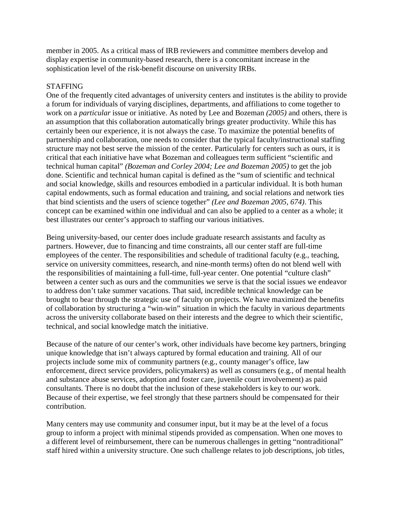member in 2005. As a critical mass of IRB reviewers and committee members develop and display expertise in community-based research, there is a concomitant increase in the sophistication level of the risk-benefit discourse on university IRBs.

### **STAFFING**

One of the frequently cited advantages of university centers and institutes is the ability to provide a forum for individuals of varying disciplines, departments, and affiliations to come together to work on a *particular* issue or initiative. As noted by Lee and Bozeman *(2005)* and others, there is an assumption that this collaboration automatically brings greater productivity. While this has certainly been our experience, it is not always the case. To maximize the potential benefits of partnership and collaboration, one needs to consider that the typical faculty/instructional staffing structure may not best serve the mission of the center. Particularly for centers such as ours, it is critical that each initiative have what Bozeman and colleagues term sufficient "scientific and technical human capital" *(Bozeman and Corley 2004; Lee and Bozeman 2005)* to get the job done. Scientific and technical human capital is defined as the "sum of scientific and technical and social knowledge, skills and resources embodied in a particular individual. It is both human capital endowments, such as formal education and training, and social relations and network ties that bind scientists and the users of science together" *(Lee and Bozeman 2005, 674)*. This concept can be examined within one individual and can also be applied to a center as a whole; it best illustrates our center's approach to staffing our various initiatives.

Being university-based, our center does include graduate research assistants and faculty as partners. However, due to financing and time constraints, all our center staff are full-time employees of the center. The responsibilities and schedule of traditional faculty (e.g., teaching, service on university committees, research, and nine-month terms) often do not blend well with the responsibilities of maintaining a full-time, full-year center. One potential "culture clash" between a center such as ours and the communities we serve is that the social issues we endeavor to address don't take summer vacations. That said, incredible technical knowledge can be brought to bear through the strategic use of faculty on projects. We have maximized the benefits of collaboration by structuring a "win-win" situation in which the faculty in various departments across the university collaborate based on their interests and the degree to which their scientific, technical, and social knowledge match the initiative.

Because of the nature of our center's work, other individuals have become key partners, bringing unique knowledge that isn't always captured by formal education and training. All of our projects include some mix of community partners (e.g., county manager's office, law enforcement, direct service providers, policymakers) as well as consumers (e.g., of mental health and substance abuse services, adoption and foster care, juvenile court involvement) as paid consultants. There is no doubt that the inclusion of these stakeholders is key to our work. Because of their expertise, we feel strongly that these partners should be compensated for their contribution.

Many centers may use community and consumer input, but it may be at the level of a focus group to inform a project with minimal stipends provided as compensation. When one moves to a different level of reimbursement, there can be numerous challenges in getting "nontraditional" staff hired within a university structure. One such challenge relates to job descriptions, job titles,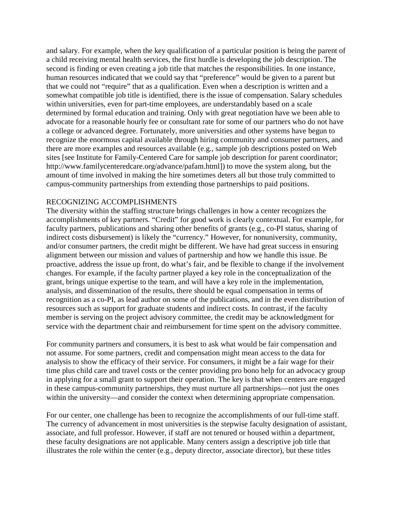and salary. For example, when the key qualification of a particular position is being the parent of a child receiving mental health services, the first hurdle is developing the job description. The second is finding or even creating a job title that matches the responsibilities. In one instance, human resources indicated that we could say that "preference" would be given to a parent but that we could not "require" that as a qualification. Even when a description is written and a somewhat compatible job title is identified, there is the issue of compensation. Salary schedules within universities, even for part-time employees, are understandably based on a scale determined by formal education and training. Only with great negotiation have we been able to advocate for a reasonable hourly fee or consultant rate for some of our partners who do not have a college or advanced degree. Fortunately, more universities and other systems have begun to recognize the enormous capital available through hiring community and consumer partners, and there are more examples and resources available (e.g., sample job descriptions posted on Web sites [see Institute for Family-Centered Care for sample job description for parent coordinator; http://www.familycenteredcare.org/advance/pafam.html]) to move the system along, but the amount of time involved in making the hire sometimes deters all but those truly committed to campus-community partnerships from extending those partnerships to paid positions.

### RECOGNIZING ACCOMPLISHMENTS

The diversity within the staffing structure brings challenges in how a center recognizes the accomplishments of key partners. "Credit" for good work is clearly contextual. For example, for faculty partners, publications and sharing other benefits of grants (e.g., co-PI status, sharing of indirect costs disbursement) is likely the "currency." However, for nonuniversity, community, and/or consumer partners, the credit might be different. We have had great success in ensuring alignment between our mission and values of partnership and how we handle this issue. Be proactive, address the issue up front, do what's fair, and be flexible to change if the involvement changes. For example, if the faculty partner played a key role in the conceptualization of the grant, brings unique expertise to the team, and will have a key role in the implementation, analysis, and dissemination of the results, there should be equal compensation in terms of recognition as a co-PI, as lead author on some of the publications, and in the even distribution of resources such as support for graduate students and indirect costs. In contrast, if the faculty member is serving on the project advisory committee, the credit may be acknowledgment for service with the department chair and reimbursement for time spent on the advisory committee.

For community partners and consumers, it is best to ask what would be fair compensation and not assume. For some partners, credit and compensation might mean access to the data for analysis to show the efficacy of their service. For consumers, it might be a fair wage for their time plus child care and travel costs or the center providing pro bono help for an advocacy group in applying for a small grant to support their operation. The key is that when centers are engaged in these campus-community partnerships, they must nurture all partnerships—not just the ones within the university—and consider the context when determining appropriate compensation.

For our center, one challenge has been to recognize the accomplishments of our full-time staff. The currency of advancement in most universities is the stepwise faculty designation of assistant, associate, and full professor. However, if staff are not tenured or housed within a department, these faculty designations are not applicable. Many centers assign a descriptive job title that illustrates the role within the center (e.g., deputy director, associate director), but these titles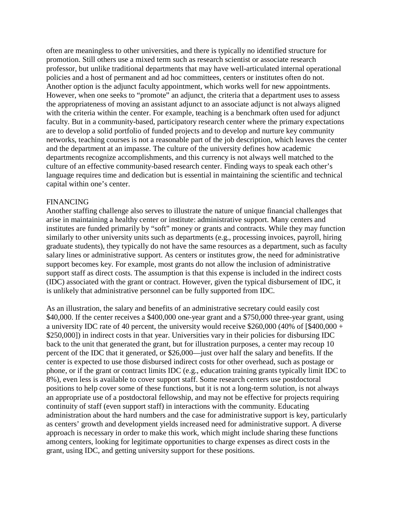often are meaningless to other universities, and there is typically no identified structure for promotion. Still others use a mixed term such as research scientist or associate research professor, but unlike traditional departments that may have well-articulated internal operational policies and a host of permanent and ad hoc committees, centers or institutes often do not. Another option is the adjunct faculty appointment, which works well for new appointments. However, when one seeks to "promote" an adjunct, the criteria that a department uses to assess the appropriateness of moving an assistant adjunct to an associate adjunct is not always aligned with the criteria within the center. For example, teaching is a benchmark often used for adjunct faculty. But in a community-based, participatory research center where the primary expectations are to develop a solid portfolio of funded projects and to develop and nurture key community networks, teaching courses is not a reasonable part of the job description, which leaves the center and the department at an impasse. The culture of the university defines how academic departments recognize accomplishments, and this currency is not always well matched to the culture of an effective community-based research center. Finding ways to speak each other's language requires time and dedication but is essential in maintaining the scientific and technical capital within one's center.

### FINANCING

Another staffing challenge also serves to illustrate the nature of unique financial challenges that arise in maintaining a healthy center or institute: administrative support. Many centers and institutes are funded primarily by "soft" money or grants and contracts. While they may function similarly to other university units such as departments (e.g., processing invoices, payroll, hiring graduate students), they typically do not have the same resources as a department, such as faculty salary lines or administrative support. As centers or institutes grow, the need for administrative support becomes key. For example, most grants do not allow the inclusion of administrative support staff as direct costs. The assumption is that this expense is included in the indirect costs (IDC) associated with the grant or contract. However, given the typical disbursement of IDC, it is unlikely that administrative personnel can be fully supported from IDC.

As an illustration, the salary and benefits of an administrative secretary could easily cost \$40,000. If the center receives a \$400,000 one-year grant and a \$750,000 three-year grant, using a university IDC rate of 40 percent, the university would receive \$260,000 (40% of [\$400,000 + \$250,000]) in indirect costs in that year. Universities vary in their policies for disbursing IDC back to the unit that generated the grant, but for illustration purposes, a center may recoup 10 percent of the IDC that it generated, or \$26,000—just over half the salary and benefits. If the center is expected to use those disbursed indirect costs for other overhead, such as postage or phone, or if the grant or contract limits IDC (e.g., education training grants typically limit IDC to 8%), even less is available to cover support staff. Some research centers use postdoctoral positions to help cover some of these functions, but it is not a long-term solution, is not always an appropriate use of a postdoctoral fellowship, and may not be effective for projects requiring continuity of staff (even support staff) in interactions with the community. Educating administration about the hard numbers and the case for administrative support is key, particularly as centers' growth and development yields increased need for administrative support. A diverse approach is necessary in order to make this work, which might include sharing these functions among centers, looking for legitimate opportunities to charge expenses as direct costs in the grant, using IDC, and getting university support for these positions.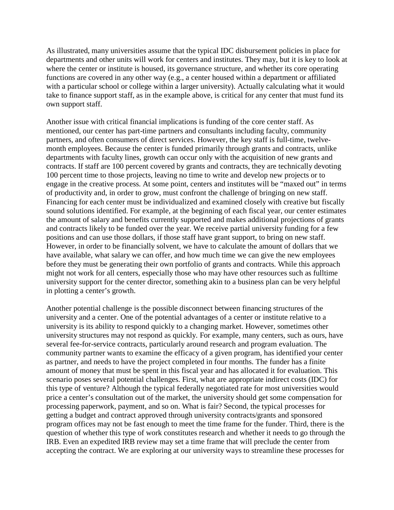As illustrated, many universities assume that the typical IDC disbursement policies in place for departments and other units will work for centers and institutes. They may, but it is key to look at where the center or institute is housed, its governance structure, and whether its core operating functions are covered in any other way (e.g., a center housed within a department or affiliated with a particular school or college within a larger university). Actually calculating what it would take to finance support staff, as in the example above, is critical for any center that must fund its own support staff.

Another issue with critical financial implications is funding of the core center staff. As mentioned, our center has part-time partners and consultants including faculty, community partners, and often consumers of direct services. However, the key staff is full-time, twelvemonth employees. Because the center is funded primarily through grants and contracts, unlike departments with faculty lines, growth can occur only with the acquisition of new grants and contracts. If staff are 100 percent covered by grants and contracts, they are technically devoting 100 percent time to those projects, leaving no time to write and develop new projects or to engage in the creative process. At some point, centers and institutes will be "maxed out" in terms of productivity and, in order to grow, must confront the challenge of bringing on new staff. Financing for each center must be individualized and examined closely with creative but fiscally sound solutions identified. For example, at the beginning of each fiscal year, our center estimates the amount of salary and benefits currently supported and makes additional projections of grants and contracts likely to be funded over the year. We receive partial university funding for a few positions and can use those dollars, if those staff have grant support, to bring on new staff. However, in order to be financially solvent, we have to calculate the amount of dollars that we have available, what salary we can offer, and how much time we can give the new employees before they must be generating their own portfolio of grants and contracts. While this approach might not work for all centers, especially those who may have other resources such as fulltime university support for the center director, something akin to a business plan can be very helpful in plotting a center's growth.

Another potential challenge is the possible disconnect between financing structures of the university and a center. One of the potential advantages of a center or institute relative to a university is its ability to respond quickly to a changing market. However, sometimes other university structures may not respond as quickly. For example, many centers, such as ours, have several fee-for-service contracts, particularly around research and program evaluation. The community partner wants to examine the efficacy of a given program, has identified your center as partner, and needs to have the project completed in four months. The funder has a finite amount of money that must be spent in this fiscal year and has allocated it for evaluation. This scenario poses several potential challenges. First, what are appropriate indirect costs (IDC) for this type of venture? Although the typical federally negotiated rate for most universities would price a center's consultation out of the market, the university should get some compensation for processing paperwork, payment, and so on. What is fair? Second, the typical processes for getting a budget and contract approved through university contracts/grants and sponsored program offices may not be fast enough to meet the time frame for the funder. Third, there is the question of whether this type of work constitutes research and whether it needs to go through the IRB. Even an expedited IRB review may set a time frame that will preclude the center from accepting the contract. We are exploring at our university ways to streamline these processes for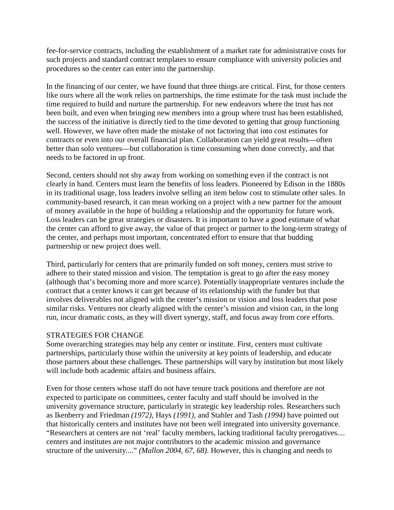fee-for-service contracts, including the establishment of a market rate for administrative costs for such projects and standard contract templates to ensure compliance with university policies and procedures so the center can enter into the partnership.

In the financing of our center, we have found that three things are critical. First, for those centers like ours where all the work relies on partnerships, the time estimate for the task must include the time required to build and nurture the partnership. For new endeavors where the trust has not been built, and even when bringing new members into a group where trust has been established, the success of the initiative is directly tied to the time devoted to getting that group functioning well. However, we have often made the mistake of not factoring that into cost estimates for contracts or even into our overall financial plan. Collaboration can yield great results—often better than solo ventures—but collaboration is time consuming when done correctly, and that needs to be factored in up front.

Second, centers should not shy away from working on something even if the contract is not clearly in hand. Centers must learn the benefits of loss leaders. Pioneered by Edison in the 1880s in its traditional usage, loss leaders involve selling an item below cost to stimulate other sales. In community-based research, it can mean working on a project with a new partner for the amount of money available in the hope of building a relationship and the opportunity for future work. Loss leaders can be great strategies or disasters. It is important to have a good estimate of what the center can afford to give away, the value of that project or partner to the long-term strategy of the center, and perhaps most important, concentrated effort to ensure that that budding partnership or new project does well.

Third, particularly for centers that are primarily funded on soft money, centers must strive to adhere to their stated mission and vision. The temptation is great to go after the easy money (although that's becoming more and more scarce). Potentially inappropriate ventures include the contract that a center knows it can get because of its relationship with the funder but that involves deliverables not aligned with the center's mission or vision and loss leaders that pose similar risks. Ventures not clearly aligned with the center's mission and vision can, in the long run, incur dramatic costs, as they will divert synergy, staff, and focus away from core efforts.

## STRATEGIES FOR CHANGE

Some overarching strategies may help any center or institute. First, centers must cultivate partnerships, particularly those within the university at key points of leadership, and educate those partners about these challenges. These partnerships will vary by institution but most likely will include both academic affairs and business affairs.

Even for those centers whose staff do not have tenure track positions and therefore are not expected to participate on committees, center faculty and staff should be involved in the university governance structure, particularly in strategic key leadership roles. Researchers such as Ikenberry and Friedman *(1972)*, Hays *(1991)*, and Stahler and Tash *(1994)* have pointed out that historically centers and institutes have not been well integrated into university governance. "Researchers at centers are not 'real' faculty members, lacking traditional faculty prerogatives.... centers and institutes are not major contributors to the academic mission and governance structure of the university...." *(Mallon 2004, 67, 68)*. However, this is changing and needs to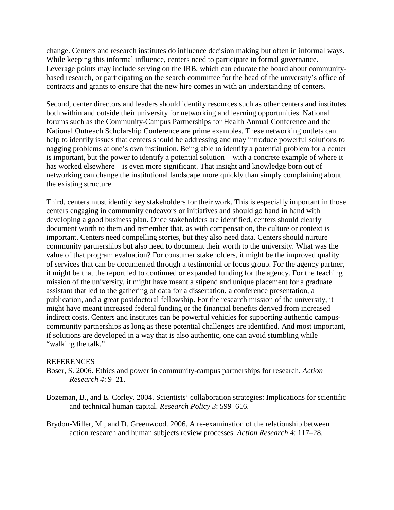change. Centers and research institutes do influence decision making but often in informal ways. While keeping this informal influence, centers need to participate in formal governance. Leverage points may include serving on the IRB, which can educate the board about communitybased research, or participating on the search committee for the head of the university's office of contracts and grants to ensure that the new hire comes in with an understanding of centers.

Second, center directors and leaders should identify resources such as other centers and institutes both within and outside their university for networking and learning opportunities. National forums such as the Community-Campus Partnerships for Health Annual Conference and the National Outreach Scholarship Conference are prime examples. These networking outlets can help to identify issues that centers should be addressing and may introduce powerful solutions to nagging problems at one's own institution. Being able to identify a potential problem for a center is important, but the power to identify a potential solution—with a concrete example of where it has worked elsewhere—is even more significant. That insight and knowledge born out of networking can change the institutional landscape more quickly than simply complaining about the existing structure.

Third, centers must identify key stakeholders for their work. This is especially important in those centers engaging in community endeavors or initiatives and should go hand in hand with developing a good business plan. Once stakeholders are identified, centers should clearly document worth to them and remember that, as with compensation, the culture or context is important. Centers need compelling stories, but they also need data. Centers should nurture community partnerships but also need to document their worth to the university. What was the value of that program evaluation? For consumer stakeholders, it might be the improved quality of services that can be documented through a testimonial or focus group. For the agency partner, it might be that the report led to continued or expanded funding for the agency. For the teaching mission of the university, it might have meant a stipend and unique placement for a graduate assistant that led to the gathering of data for a dissertation, a conference presentation, a publication, and a great postdoctoral fellowship. For the research mission of the university, it might have meant increased federal funding or the financial benefits derived from increased indirect costs. Centers and institutes can be powerful vehicles for supporting authentic campuscommunity partnerships as long as these potential challenges are identified. And most important, if solutions are developed in a way that is also authentic, one can avoid stumbling while "walking the talk."

#### **REFERENCES**

- Boser, S. 2006. Ethics and power in community-campus partnerships for research. *Action Research 4*: 9–21.
- Bozeman, B., and E. Corley. 2004. Scientists' collaboration strategies: Implications for scientific and technical human capital. *Research Policy 3*: 599–616.
- Brydon-Miller, M., and D. Greenwood. 2006. A re-examination of the relationship between action research and human subjects review processes. *Action Research 4*: 117–28.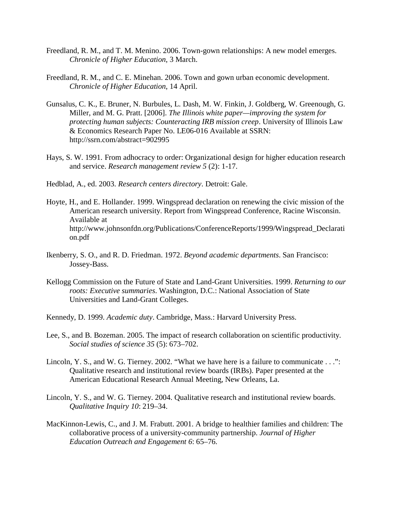- Freedland, R. M., and T. M. Menino. 2006. Town-gown relationships: A new model emerges. *Chronicle of Higher Education*, 3 March.
- Freedland, R. M., and C. E. Minehan. 2006. Town and gown urban economic development. *Chronicle of Higher Education*, 14 April.
- Gunsalus, C. K., E. Bruner, N. Burbules, L. Dash, M. W. Finkin, J. Goldberg, W. Greenough, G. Miller, and M. G. Pratt. [2006]. *The Illinois white paper—improving the system for protecting human subjects: Counteracting IRB mission creep*. University of Illinois Law & Economics Research Paper No. LE06-016 Available at SSRN: http://ssrn.com/abstract=902995
- Hays, S. W. 1991. From adhocracy to order: Organizational design for higher education research and service. *Research management review 5* (2): 1-17.
- Hedblad, A., ed. 2003. *Research centers directory*. Detroit: Gale.
- Hoyte, H., and E. Hollander. 1999. Wingspread declaration on renewing the civic mission of the American research university. Report from Wingspread Conference, Racine Wisconsin. Available at http://www.johnsonfdn.org/Publications/ConferenceReports/1999/Wingspread\_Declarati on.pdf
- Ikenberry, S. O., and R. D. Friedman. 1972. *Beyond academic departments*. San Francisco: Jossey-Bass.
- Kellogg Commission on the Future of State and Land-Grant Universities. 1999. *Returning to our roots: Executive summaries*. Washington, D.C.: National Association of State Universities and Land-Grant Colleges.
- Kennedy, D. 1999. *Academic duty*. Cambridge, Mass.: Harvard University Press.
- Lee, S., and B. Bozeman. 2005. The impact of research collaboration on scientific productivity. *Social studies of science 35* (5): 673–702.
- Lincoln, Y. S., and W. G. Tierney. 2002. "What we have here is a failure to communicate . . .": Qualitative research and institutional review boards (IRBs). Paper presented at the American Educational Research Annual Meeting, New Orleans, La.
- Lincoln, Y. S., and W. G. Tierney. 2004. Qualitative research and institutional review boards. *Qualitative Inquiry 10*: 219–34.
- MacKinnon-Lewis, C., and J. M. Frabutt. 2001. A bridge to healthier families and children: The collaborative process of a university-community partnership. *Journal of Higher Education Outreach and Engagement 6*: 65–76.